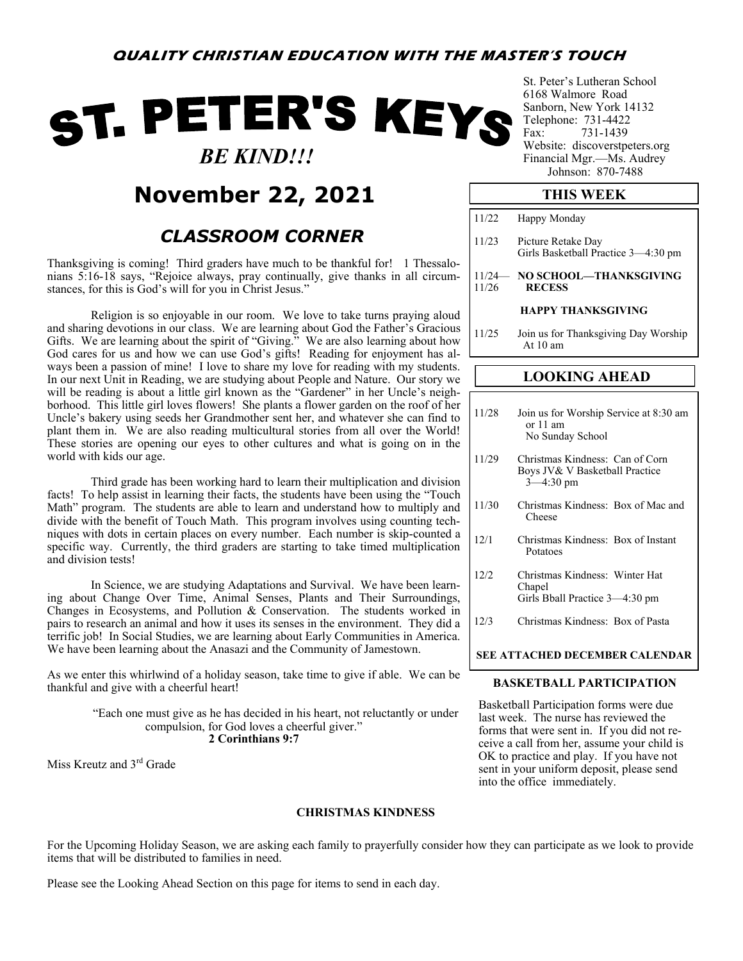# ST. PETER'S KEYS  *BE KIND!!!*

## **November 22, 2021**

### *CLASSROOM CORNER*

Thanksgiving is coming! Third graders have much to be thankful for! 1 Thessalonians 5:16-18 says, "Rejoice always, pray continually, give thanks in all circumstances, for this is God's will for you in Christ Jesus."

Religion is so enjoyable in our room. We love to take turns praying aloud and sharing devotions in our class. We are learning about God the Father's Gracious Gifts. We are learning about the spirit of "Giving." We are also learning about how God cares for us and how we can use God's gifts! Reading for enjoyment has always been a passion of mine! I love to share my love for reading with my students. In our next Unit in Reading, we are studying about People and Nature. Our story we will be reading is about a little girl known as the "Gardener" in her Uncle's neighborhood. This little girl loves flowers! She plants a flower garden on the roof of her Uncle's bakery using seeds her Grandmother sent her, and whatever she can find to plant them in. We are also reading multicultural stories from all over the World! These stories are opening our eyes to other cultures and what is going on in the world with kids our age.

Third grade has been working hard to learn their multiplication and division facts! To help assist in learning their facts, the students have been using the "Touch Math" program. The students are able to learn and understand how to multiply and divide with the benefit of Touch Math. This program involves using counting techniques with dots in certain places on every number. Each number is skip-counted a specific way. Currently, the third graders are starting to take timed multiplication and division tests!

In Science, we are studying Adaptations and Survival. We have been learning about Change Over Time, Animal Senses, Plants and Their Surroundings, Changes in Ecosystems, and Pollution & Conservation. The students worked in pairs to research an animal and how it uses its senses in the environment. They did a terrific job! In Social Studies, we are learning about Early Communities in America. We have been learning about the Anasazi and the Community of Jamestown.

As we enter this whirlwind of a holiday season, take time to give if able. We can be thankful and give with a cheerful heart!

> "Each one must give as he has decided in his heart, not reluctantly or under compulsion, for God loves a cheerful giver." **2 Corinthians 9:7**

Miss Kreutz and 3<sup>rd</sup> Grade

#### **CHRISTMAS KINDNESS**

St. Peter's Lutheran School 6168 Walmore Road Sanborn, New York 14132 Telephone: 731-4422 Fax: 731-1439 Website: discoverstpeters.org Financial Mgr.—Ms. Audrey Johnson: 870-7488

#### **THIS WEEK**

| 11/22             | Happy Monday                                                                       |  |  |  |  |  |
|-------------------|------------------------------------------------------------------------------------|--|--|--|--|--|
| 11/23             | Picture Retake Day<br>Girls Basketball Practice 3-4:30 pm                          |  |  |  |  |  |
| $11/24-$<br>11/26 | NO SCHOOL—THANKSGIVING<br><b>RECESS</b>                                            |  |  |  |  |  |
|                   | <b>HAPPY THANKSGIVING</b>                                                          |  |  |  |  |  |
| 11/25             | Join us for Thanksgiving Day Worship<br>At $10 \text{ am}$                         |  |  |  |  |  |
|                   |                                                                                    |  |  |  |  |  |
|                   |                                                                                    |  |  |  |  |  |
|                   | <b>LOOKING AHEAD</b>                                                               |  |  |  |  |  |
|                   |                                                                                    |  |  |  |  |  |
| 11/28             | Join us for Worship Service at 8:30 am<br>or $11$ am<br>No Sunday School           |  |  |  |  |  |
| 11/29             | Christmas Kindness: Can of Corn<br>Boys JV& V Basketball Practice<br>$3 - 4:30$ pm |  |  |  |  |  |

- 12/1 Christmas Kindness: Box of Instant Potatoes
- 12/2 Christmas Kindness: Winter Hat Chapel Girls Bball Practice 3—4:30 pm
- 12/3 Christmas Kindness: Box of Pasta

#### **SEE ATTACHED DECEMBER CALENDAR**

#### **BASKETBALL PARTICIPATION**

Basketball Participation forms were due last week. The nurse has reviewed the forms that were sent in. If you did not receive a call from her, assume your child is OK to practice and play. If you have not sent in your uniform deposit, please send into the office immediately.

For the Upcoming Holiday Season, we are asking each family to prayerfully consider how they can participate as we look to provide items that will be distributed to families in need.

Please see the Looking Ahead Section on this page for items to send in each day.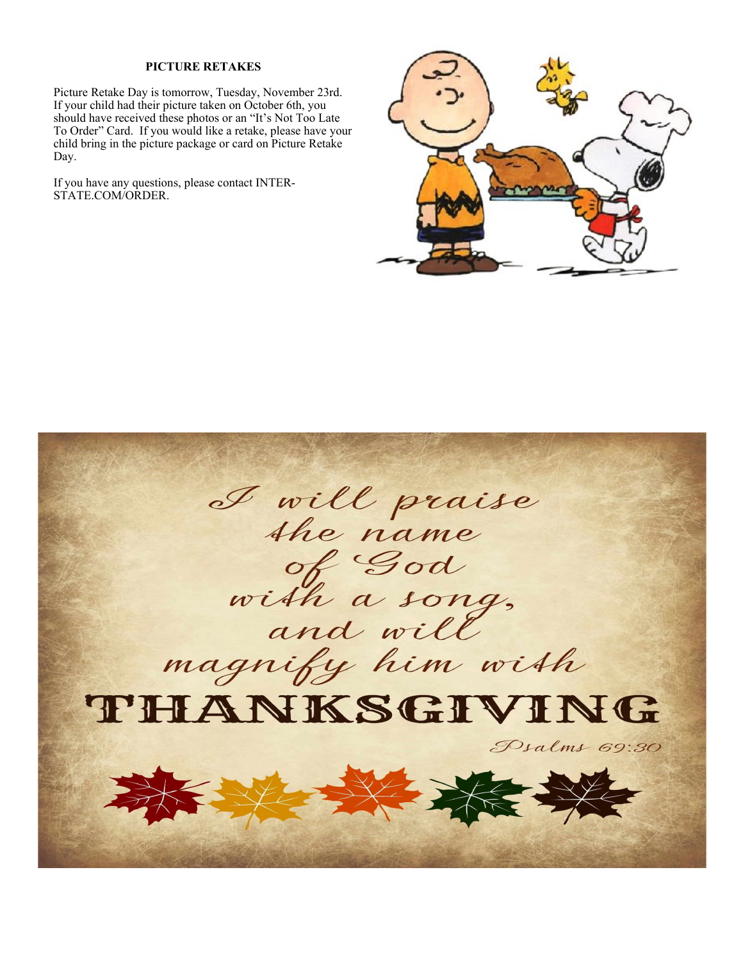#### **PICTURE RETAKES**

Picture Retake Day is tomorrow, Tuesday, November 23rd. If your child had their picture taken on October 6th, you should have received these photos or an "It's Not Too Late To Order" Card. If you would like a retake, please have your child bring in the picture package or card on Picture Retake Day.

If you have any questions, please contact INTER-STATE.COM/ORDER.



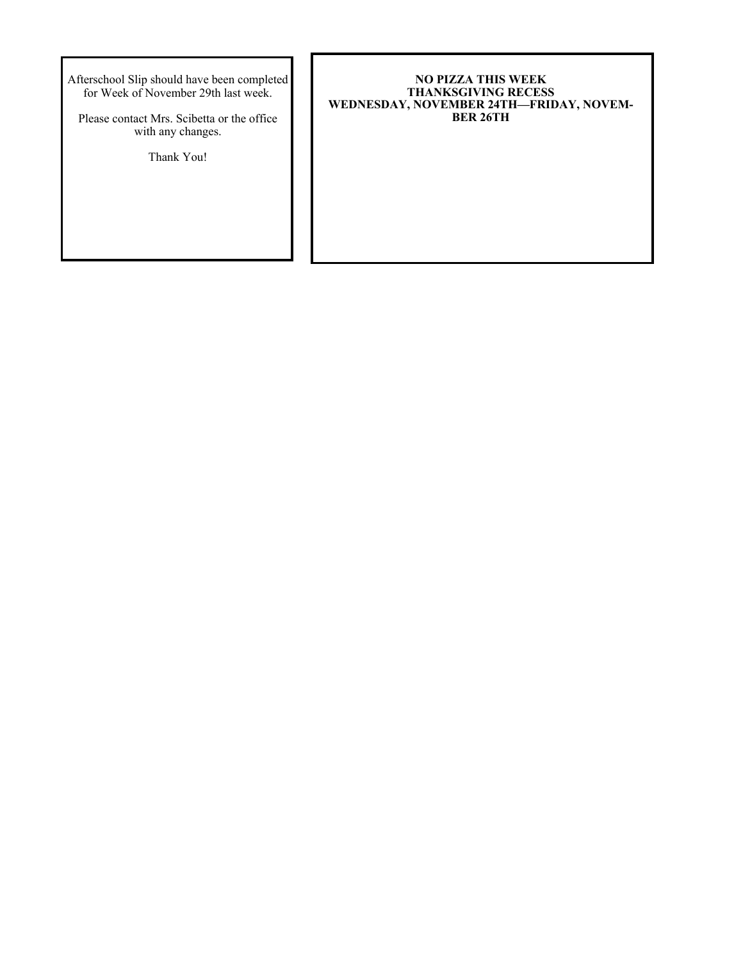Afterschool Slip should have been completed for Week of November 29th last week.

Please contact Mrs. Scibetta or the office with any changes.

Thank You!

#### **NO PIZZA THIS WEEK THANKSGIVING RECESS WEDNESDAY, NOVEMBER 24TH—FRIDAY, NOVEM-BER 26TH**